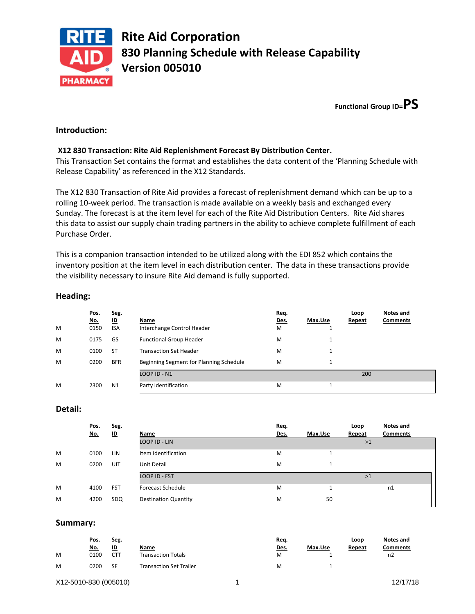

**Functional Group ID=PS**

# **Introduction:**

## **X12 830 Transaction: Rite Aid Replenishment Forecast By Distribution Center.**

This Transaction Set contains the format and establishes the data content of the 'Planning Schedule with Release Capability' as referenced in the X12 Standards.

The X12 830 Transaction of Rite Aid provides a forecast of replenishment demand which can be up to a rolling 10-week period. The transaction is made available on a weekly basis and exchanged every Sunday. The forecast is at the item level for each of the Rite Aid Distribution Centers. Rite Aid shares this data to assist our supply chain trading partners in the ability to achieve complete fulfillment of each Purchase Order.

This is a companion transaction intended to be utilized along with the EDI 852 which contains the inventory position at the item level in each distribution center. The data in these transactions provide the visibility necessary to insure Rite Aid demand is fully supported.

| M | Pos.<br><u>No.</u><br>0150 | Seg.<br>ம<br><b>ISA</b> | Name<br>Interchange Control Header      | Req.<br>Des.<br>M | Max.Use | Loop<br>Repeat | Notes and<br><b>Comments</b> |
|---|----------------------------|-------------------------|-----------------------------------------|-------------------|---------|----------------|------------------------------|
| M | 0175                       | GS                      | <b>Functional Group Header</b>          | M                 | 1       |                |                              |
| M | 0100                       | <b>ST</b>               | <b>Transaction Set Header</b>           | M                 | 1       |                |                              |
| M | 0200                       | <b>BFR</b>              | Beginning Segment for Planning Schedule | M                 | 1       |                |                              |
|   |                            |                         | LOOP ID - N1                            |                   |         | 200            |                              |
| M | 2300                       | N <sub>1</sub>          | Party Identification                    | M                 |         |                |                              |

### **Heading:**

### **Detail:**

|   | Pos.<br><u>No.</u> | Seg.<br>쁘  | Name                        | Req.<br>Des. | Max.Use | Loop<br>Repeat | Notes and<br><b>Comments</b> |
|---|--------------------|------------|-----------------------------|--------------|---------|----------------|------------------------------|
|   |                    |            | LOOP ID - LIN               |              |         | >1             |                              |
| M | 0100               | LIN        | Item Identification         | M            |         |                |                              |
| M | 0200               | UIT        | Unit Detail                 | M            |         |                |                              |
|   |                    |            | <b>LOOP ID - FST</b>        |              |         | >1             |                              |
| M | 4100               | <b>FST</b> | <b>Forecast Schedule</b>    | M            |         |                | n1                           |
| M | 4200               | SDQ        | <b>Destination Quantity</b> | м            | 50      |                |                              |

### **Summary:**

|   | Pos.       | Seg.          |                           | Reg.        |         | Loop   | Notes and       |
|---|------------|---------------|---------------------------|-------------|---------|--------|-----------------|
|   | <u>No.</u> | <u>ID</u>     | Name                      | <u>Des.</u> | Max.Use | Repeat | <b>Comments</b> |
| M | 0100       | $\sim$<br>CT. | <b>Transaction Totals</b> | M           |         |        | n2              |
| M | 0200       | <b>SE</b>     | Transaction Set Trailer   | м           |         |        |                 |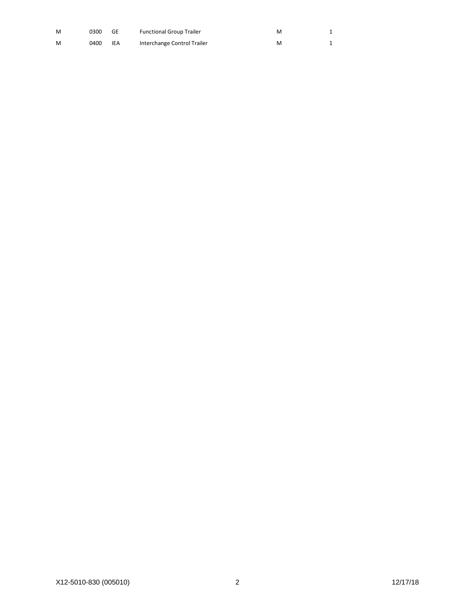| M | 0300 | GE  | <b>Functional Group Trailer</b> | м |  |
|---|------|-----|---------------------------------|---|--|
| M | 0400 | IEA | Interchange Control Trailer     | M |  |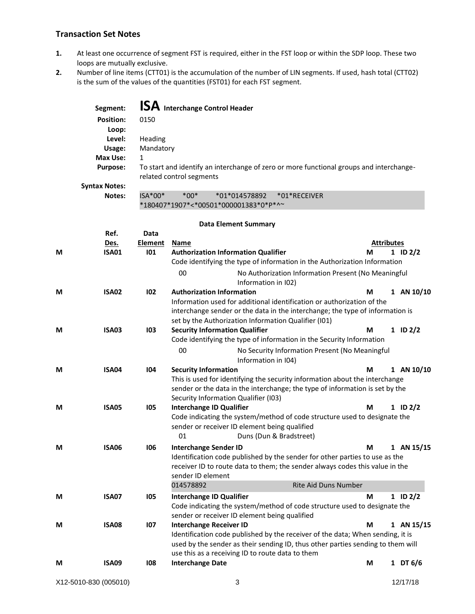# **Transaction Set Notes**

- **1.** At least one occurrence of segment FST is required, either in the FST loop or within the SDP loop. These two loops are mutually exclusive.
- **2.** Number of line items (CTT01) is the accumulation of the number of LIN segments. If used, hash total (CTT02) is the sum of the values of the quantities (FST01) for each FST segment.

|   | Segment:             |                | <b>ISA</b> Interchange Control Header                                                                               |                   |              |
|---|----------------------|----------------|---------------------------------------------------------------------------------------------------------------------|-------------------|--------------|
|   | <b>Position:</b>     | 0150           |                                                                                                                     |                   |              |
|   | Loop:                |                |                                                                                                                     |                   |              |
|   | Level:               | Heading        |                                                                                                                     |                   |              |
|   | Usage:               | Mandatory      |                                                                                                                     |                   |              |
|   | <b>Max Use:</b>      | $\mathbf{1}$   |                                                                                                                     |                   |              |
|   | <b>Purpose:</b>      |                | To start and identify an interchange of zero or more functional groups and interchange-<br>related control segments |                   |              |
|   | <b>Syntax Notes:</b> |                |                                                                                                                     |                   |              |
|   | Notes:               | ISA*00*        | $*00*$<br>*01*014578892<br>*01*RECEIVER<br>*180407*1907*<*00501*000001383*0*P*^~                                    |                   |              |
|   |                      |                | <b>Data Element Summary</b>                                                                                         |                   |              |
|   | Ref.                 | <b>Data</b>    |                                                                                                                     |                   |              |
|   | Des.                 | <b>Element</b> | <b>Name</b>                                                                                                         | <b>Attributes</b> |              |
| М | <b>ISA01</b>         | 101            | <b>Authorization Information Qualifier</b>                                                                          | М                 | $1$ ID $2/2$ |
|   |                      |                | Code identifying the type of information in the Authorization Information                                           |                   |              |
|   |                      |                | 00<br>No Authorization Information Present (No Meaningful<br>Information in I02)                                    |                   |              |
| M | <b>ISA02</b>         | 102            | <b>Authorization Information</b>                                                                                    | М                 | 1 AN 10/10   |
|   |                      |                | Information used for additional identification or authorization of the                                              |                   |              |
|   |                      |                | interchange sender or the data in the interchange; the type of information is                                       |                   |              |
|   |                      |                | set by the Authorization Information Qualifier (I01)                                                                |                   |              |
| М | <b>ISA03</b>         | 103            | <b>Security Information Qualifier</b><br>Code identifying the type of information in the Security Information       | М                 | $1$ ID $2/2$ |
|   |                      |                |                                                                                                                     |                   |              |
|   |                      |                | 00<br>No Security Information Present (No Meaningful<br>Information in I04)                                         |                   |              |
| М | <b>ISA04</b>         | 104            | <b>Security Information</b>                                                                                         | М                 | 1 AN 10/10   |
|   |                      |                | This is used for identifying the security information about the interchange                                         |                   |              |
|   |                      |                | sender or the data in the interchange; the type of information is set by the                                        |                   |              |
| М | <b>ISA05</b>         | 105            | Security Information Qualifier (I03)<br><b>Interchange ID Qualifier</b>                                             | М                 | $1$ ID $2/2$ |
|   |                      |                | Code indicating the system/method of code structure used to designate the                                           |                   |              |
|   |                      |                | sender or receiver ID element being qualified                                                                       |                   |              |
|   |                      |                | Duns (Dun & Bradstreet)<br>01                                                                                       |                   |              |
| М | <b>ISA06</b>         | 106            | <b>Interchange Sender ID</b>                                                                                        | М                 | 1 AN 15/15   |
|   |                      |                | Identification code published by the sender for other parties to use as the                                         |                   |              |
|   |                      |                | receiver ID to route data to them; the sender always codes this value in the                                        |                   |              |
|   |                      |                | sender ID element                                                                                                   |                   |              |
|   |                      |                | 014578892<br>Rite Aid Duns Number                                                                                   |                   |              |
| M | <b>ISA07</b>         | 105            | <b>Interchange ID Qualifier</b>                                                                                     | М                 | $1$ ID $2/2$ |
|   |                      |                | Code indicating the system/method of code structure used to designate the                                           |                   |              |
|   | <b>ISA08</b>         |                | sender or receiver ID element being qualified                                                                       |                   |              |
| M |                      | 107            | <b>Interchange Receiver ID</b><br>Identification code published by the receiver of the data; When sending, it is    | М                 | 1 AN 15/15   |
|   |                      |                | used by the sender as their sending ID, thus other parties sending to them will                                     |                   |              |
|   |                      |                | use this as a receiving ID to route data to them                                                                    |                   |              |
| M | <b>ISA09</b>         | 108            | <b>Interchange Date</b>                                                                                             | M                 | 1 DT 6/6     |
|   |                      |                |                                                                                                                     |                   |              |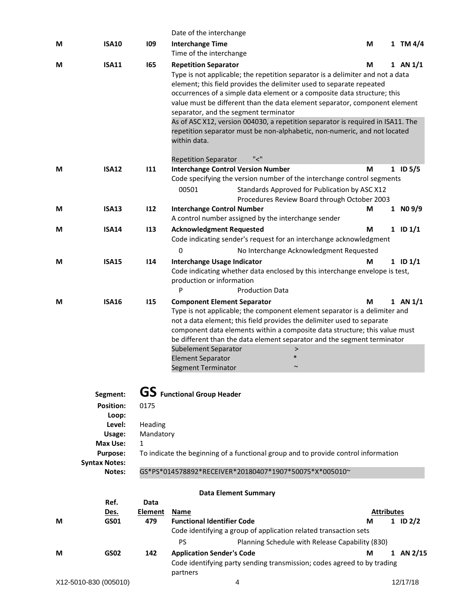|   |                       |                | Date of the interchange                                                                                                                          |                        |              |
|---|-----------------------|----------------|--------------------------------------------------------------------------------------------------------------------------------------------------|------------------------|--------------|
| M | <b>ISA10</b>          | 109            | <b>Interchange Time</b>                                                                                                                          | M                      | 1 TM $4/4$   |
|   |                       |                | Time of the interchange                                                                                                                          |                        |              |
| М | <b>ISA11</b>          | 165            | <b>Repetition Separator</b>                                                                                                                      | M                      | $1$ AN $1/1$ |
|   |                       |                | Type is not applicable; the repetition separator is a delimiter and not a data                                                                   |                        |              |
|   |                       |                | element; this field provides the delimiter used to separate repeated<br>occurrences of a simple data element or a composite data structure; this |                        |              |
|   |                       |                | value must be different than the data element separator, component element                                                                       |                        |              |
|   |                       |                | separator, and the segment terminator                                                                                                            |                        |              |
|   |                       |                | As of ASC X12, version 004030, a repetition separator is required in ISA11. The                                                                  |                        |              |
|   |                       |                | repetition separator must be non-alphabetic, non-numeric, and not located<br>within data.                                                        |                        |              |
|   |                       |                | "<"<br><b>Repetition Separator</b>                                                                                                               |                        |              |
| M | <b>ISA12</b>          | 111            | <b>Interchange Control Version Number</b>                                                                                                        | М                      | $1$ ID 5/5   |
|   |                       |                | Code specifying the version number of the interchange control segments                                                                           |                        |              |
|   |                       |                | 00501<br>Standards Approved for Publication by ASC X12                                                                                           |                        |              |
| M | <b>ISA13</b>          | 112            | Procedures Review Board through October 2003<br><b>Interchange Control Number</b>                                                                | M                      | 1 NO 9/9     |
|   |                       |                | A control number assigned by the interchange sender                                                                                              |                        |              |
| М | <b>ISA14</b>          | 113            | <b>Acknowledgment Requested</b>                                                                                                                  | М                      | $1$ ID $1/1$ |
|   |                       |                | Code indicating sender's request for an interchange acknowledgment                                                                               |                        |              |
|   |                       |                | 0<br>No Interchange Acknowledgment Requested                                                                                                     |                        |              |
| M | <b>ISA15</b>          | 114            |                                                                                                                                                  | M                      | $1$ ID $1/1$ |
|   |                       |                | Interchange Usage Indicator<br>Code indicating whether data enclosed by this interchange envelope is test,                                       |                        |              |
|   |                       |                | production or information                                                                                                                        |                        |              |
|   |                       |                | P<br><b>Production Data</b>                                                                                                                      |                        |              |
| M | <b>ISA16</b>          | 115            | <b>Component Element Separator</b>                                                                                                               | M                      | $1$ AN $1/1$ |
|   |                       |                | Type is not applicable; the component element separator is a delimiter and                                                                       |                        |              |
|   |                       |                | not a data element; this field provides the delimiter used to separate                                                                           |                        |              |
|   |                       |                | component data elements within a composite data structure; this value must                                                                       |                        |              |
|   |                       |                | be different than the data element separator and the segment terminator                                                                          |                        |              |
|   |                       |                | Subelement Separator<br>><br>$\ast$                                                                                                              |                        |              |
|   |                       |                | <b>Element Separator</b><br>Segment Terminator<br>$\sim$                                                                                         |                        |              |
|   |                       |                |                                                                                                                                                  |                        |              |
|   |                       |                |                                                                                                                                                  |                        |              |
|   | Segment:              |                | <b>GS</b> Functional Group Header                                                                                                                |                        |              |
|   | <b>Position:</b>      | 0175           |                                                                                                                                                  |                        |              |
|   | Loop:                 |                |                                                                                                                                                  |                        |              |
|   | Level:                | Heading        |                                                                                                                                                  |                        |              |
|   | Usage:<br>Max Use:    | Mandatory<br>1 |                                                                                                                                                  |                        |              |
|   | <b>Purpose:</b>       |                | To indicate the beginning of a functional group and to provide control information                                                               |                        |              |
|   | <b>Syntax Notes:</b>  |                |                                                                                                                                                  |                        |              |
|   | Notes:                |                | GS*PS*014578892*RECEIVER*20180407*1907*50075*X*005010~                                                                                           |                        |              |
|   |                       |                |                                                                                                                                                  |                        |              |
|   |                       |                | <b>Data Element Summary</b>                                                                                                                      |                        |              |
|   | Ref.                  | Data           |                                                                                                                                                  |                        |              |
| М | Des.<br>GS01          | Element<br>479 | Name<br><b>Functional Identifier Code</b>                                                                                                        | <b>Attributes</b><br>M | 1 ID $2/2$   |
|   |                       |                | Code identifying a group of application related transaction sets                                                                                 |                        |              |
|   |                       |                | PS<br>Planning Schedule with Release Capability (830)                                                                                            |                        |              |
|   | <b>GS02</b>           | 142            |                                                                                                                                                  | M                      | 1 AN 2/15    |
| M |                       |                | <b>Application Sender's Code</b><br>Code identifying party sending transmission; codes agreed to by trading                                      |                        |              |
|   |                       |                | partners                                                                                                                                         |                        |              |
|   | X12-5010-830 (005010) |                | 4                                                                                                                                                |                        | 12/17/18     |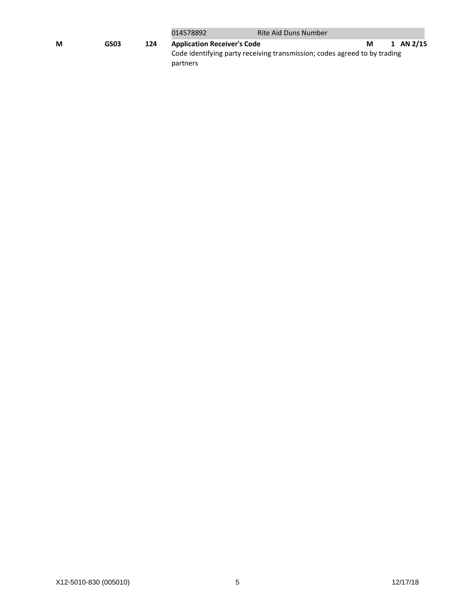|   |      |     | 014578892                                      | Rite Aid Duns Number                                                      |   |           |
|---|------|-----|------------------------------------------------|---------------------------------------------------------------------------|---|-----------|
| М | GS03 | 124 | <b>Application Receiver's Code</b><br>partners | Code identifying party receiving transmission; codes agreed to by trading | м | 1 AN 2/15 |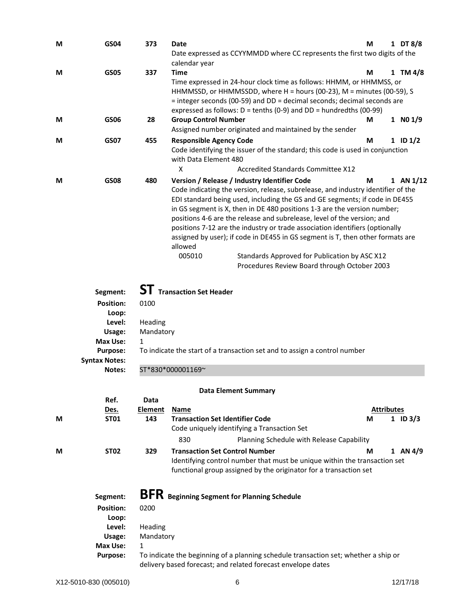| M                                                | <b>GS04</b>                                                                                     | 373                               | Date<br>Date expressed as CCYYMMDD where CC represents the first two digits of the<br>calendar year                                                                                                                                                                                                                                                                                                                                                                                                                                                                                                                                                                                                | М                      | 1 DT 8/8     |
|--------------------------------------------------|-------------------------------------------------------------------------------------------------|-----------------------------------|----------------------------------------------------------------------------------------------------------------------------------------------------------------------------------------------------------------------------------------------------------------------------------------------------------------------------------------------------------------------------------------------------------------------------------------------------------------------------------------------------------------------------------------------------------------------------------------------------------------------------------------------------------------------------------------------------|------------------------|--------------|
| M                                                | <b>GS05</b>                                                                                     | 337                               | <b>Time</b><br>Time expressed in 24-hour clock time as follows: HHMM, or HHMMSS, or<br>HHMMSSD, or HHMMSSDD, where H = hours (00-23), M = minutes (00-59), S<br>= integer seconds (00-59) and DD = decimal seconds; decimal seconds are<br>expressed as follows: $D =$ tenths (0-9) and $DD =$ hundredths (00-99)                                                                                                                                                                                                                                                                                                                                                                                  | М                      | 1 TM $4/8$   |
| M                                                | <b>GS06</b>                                                                                     | 28                                | <b>Group Control Number</b><br>Assigned number originated and maintained by the sender                                                                                                                                                                                                                                                                                                                                                                                                                                                                                                                                                                                                             | М                      | $1$ NO $1/9$ |
| M                                                | <b>GS07</b>                                                                                     | 455                               | <b>Responsible Agency Code</b><br>Code identifying the issuer of the standard; this code is used in conjunction<br>with Data Element 480<br>X<br><b>Accredited Standards Committee X12</b>                                                                                                                                                                                                                                                                                                                                                                                                                                                                                                         | M                      | $1$ ID $1/2$ |
| <b>GS08</b><br>M<br>Segment:<br><b>Position:</b> |                                                                                                 | 480<br>0100                       | Version / Release / Industry Identifier Code<br>Code indicating the version, release, subrelease, and industry identifier of the<br>EDI standard being used, including the GS and GE segments; if code in DE455<br>in GS segment is X, then in DE 480 positions 1-3 are the version number;<br>positions 4-6 are the release and subrelease, level of the version; and<br>positions 7-12 are the industry or trade association identifiers (optionally<br>assigned by user); if code in DE455 in GS segment is T, then other formats are<br>allowed<br>005010<br>Standards Approved for Publication by ASC X12<br>Procedures Review Board through October 2003<br><b>ST</b> Transaction Set Header | M                      | 1 AN 1/12    |
|                                                  | Loop:<br>Level:<br>Usage:<br>Max Use:<br><b>Purpose:</b>                                        | Heading<br>Mandatory<br>1         | To indicate the start of a transaction set and to assign a control number                                                                                                                                                                                                                                                                                                                                                                                                                                                                                                                                                                                                                          |                        |              |
|                                                  | <b>Syntax Notes:</b><br>Notes:                                                                  |                                   | ST*830*000001169~                                                                                                                                                                                                                                                                                                                                                                                                                                                                                                                                                                                                                                                                                  |                        |              |
| M                                                | Ref.<br><u>Des.</u><br><b>ST01</b>                                                              | Data<br><b>Element</b><br>143     | <b>Data Element Summary</b><br><b>Name</b><br><b>Transaction Set Identifier Code</b><br>Code uniquely identifying a Transaction Set<br>830<br>Planning Schedule with Release Capability                                                                                                                                                                                                                                                                                                                                                                                                                                                                                                            | <b>Attributes</b><br>М | 1 ID $3/3$   |
| М                                                | <b>ST02</b>                                                                                     | 329                               | <b>Transaction Set Control Number</b><br>Identifying control number that must be unique within the transaction set<br>functional group assigned by the originator for a transaction set                                                                                                                                                                                                                                                                                                                                                                                                                                                                                                            | M                      | $1$ AN $4/9$ |
|                                                  | Segment:<br><b>Position:</b><br>Loop:<br>Level:<br>Usage:<br><b>Max Use:</b><br><b>Purpose:</b> | 0200<br>Heading<br>Mandatory<br>1 | <b>BFR</b> Beginning Segment for Planning Schedule<br>To indicate the beginning of a planning schedule transaction set; whether a ship or<br>delivery based forecast; and related forecast envelope dates                                                                                                                                                                                                                                                                                                                                                                                                                                                                                          |                        |              |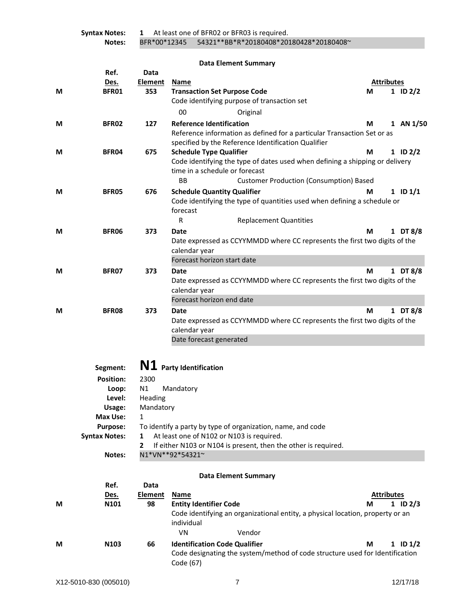**Syntax Notes: 1** At least one of BFR02 or BFR03 is required. **Notes:** BFR\*00\*12345 54321\*\*BB\*R\*20180408\*20180428\*20180408~

|   |                      |                      | <b>Data Element Summary</b>                                                    |                   |              |
|---|----------------------|----------------------|--------------------------------------------------------------------------------|-------------------|--------------|
|   | Ref.                 | Data                 |                                                                                |                   |              |
|   | Des.                 | <b>Element</b>       | Name                                                                           | <b>Attributes</b> |              |
| М | BFR01                | 353                  | <b>Transaction Set Purpose Code</b>                                            | М                 | 1 ID $2/2$   |
|   |                      |                      | Code identifying purpose of transaction set                                    |                   |              |
|   |                      |                      | 00<br>Original                                                                 |                   |              |
| М | BFR02                | 127                  | <b>Reference Identification</b>                                                | М                 | 1 AN $1/50$  |
|   |                      |                      | Reference information as defined for a particular Transaction Set or as        |                   |              |
|   |                      |                      | specified by the Reference Identification Qualifier                            |                   |              |
| М | <b>BFR04</b>         | 675                  | <b>Schedule Type Qualifier</b>                                                 | М                 | $1$ ID $2/2$ |
|   |                      |                      | Code identifying the type of dates used when defining a shipping or delivery   |                   |              |
|   |                      |                      | time in a schedule or forecast                                                 |                   |              |
|   |                      |                      | <b>BB</b><br><b>Customer Production (Consumption) Based</b>                    |                   |              |
| М | BFR05                | 676                  | <b>Schedule Quantity Qualifier</b>                                             | М                 | $1$ ID $1/1$ |
|   |                      |                      | Code identifying the type of quantities used when defining a schedule or       |                   |              |
|   |                      |                      | forecast                                                                       |                   |              |
|   |                      |                      | R<br><b>Replacement Quantities</b>                                             |                   |              |
| М | <b>BFR06</b>         | 373                  | Date                                                                           | М                 | 1 DT 8/8     |
|   |                      |                      | Date expressed as CCYYMMDD where CC represents the first two digits of the     |                   |              |
|   |                      |                      | calendar year                                                                  |                   |              |
|   |                      |                      | Forecast horizon start date                                                    |                   |              |
| М | BFR07                | 373                  | Date                                                                           | М                 | 1 DT 8/8     |
|   |                      |                      | Date expressed as CCYYMMDD where CC represents the first two digits of the     |                   |              |
|   |                      |                      | calendar year                                                                  |                   |              |
|   |                      |                      | Forecast horizon end date                                                      |                   |              |
| М | BFR08                | 373                  | Date                                                                           | М                 | 1 DT 8/8     |
|   |                      |                      | Date expressed as CCYYMMDD where CC represents the first two digits of the     |                   |              |
|   |                      |                      | calendar year                                                                  |                   |              |
|   |                      |                      | Date forecast generated                                                        |                   |              |
|   |                      |                      |                                                                                |                   |              |
|   | Segment:             |                      | N1 Party Identification                                                        |                   |              |
|   |                      |                      |                                                                                |                   |              |
|   | <b>Position:</b>     | 2300                 |                                                                                |                   |              |
|   | Loop:                | N1                   | Mandatory                                                                      |                   |              |
|   | Level:<br>Usage:     | Heading<br>Mandatory |                                                                                |                   |              |
|   | <b>Max Use:</b>      | $\mathbf{1}$         |                                                                                |                   |              |
|   | Purpose:             |                      | To identify a party by type of organization, name, and code                    |                   |              |
|   | <b>Syntax Notes:</b> | 1                    | At least one of N102 or N103 is required.                                      |                   |              |
|   |                      | 2                    | If either N103 or N104 is present, then the other is required.                 |                   |              |
|   | Notes:               |                      | N1*VN**92*54321~                                                               |                   |              |
|   |                      |                      |                                                                                |                   |              |
|   |                      |                      | <b>Data Element Summary</b>                                                    |                   |              |
|   | Ref.                 | Data                 |                                                                                |                   |              |
|   | Des.                 | <b>Element</b>       | Name                                                                           | <b>Attributes</b> |              |
| М | N101                 | 98                   | <b>Entity Identifier Code</b>                                                  | М                 | 1 ID $2/3$   |
|   |                      |                      | Code identifying an organizational entity, a physical location, property or an |                   |              |
|   |                      |                      | individual                                                                     |                   |              |
|   |                      |                      | VN<br>Vendor                                                                   |                   |              |
| M | N103                 | 66                   | <b>Identification Code Qualifier</b>                                           | M                 | $1$ ID $1/2$ |

Code (67)

Code designating the system/method of code structure used for Identification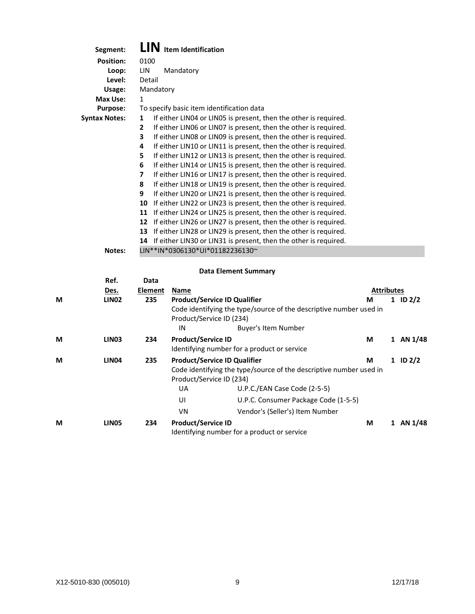| Segment:             | <b>Item Identification</b>                                             |
|----------------------|------------------------------------------------------------------------|
| <b>Position:</b>     | 0100                                                                   |
| Loop:                | LIN<br>Mandatory                                                       |
| Level:               | Detail                                                                 |
| Usage:               | Mandatory                                                              |
| Max Use:             | 1                                                                      |
| <b>Purpose:</b>      | To specify basic item identification data                              |
| <b>Syntax Notes:</b> | If either LIN04 or LIN05 is present, then the other is required.<br>1  |
|                      | If either LIN06 or LIN07 is present, then the other is required.<br>2  |
|                      | 3<br>If either LINO8 or LINO9 is present, then the other is required.  |
|                      | 4<br>If either LIN10 or LIN11 is present, then the other is required.  |
|                      | If either LIN12 or LIN13 is present, then the other is required.<br>5  |
|                      | If either LIN14 or LIN15 is present, then the other is required.<br>6  |
|                      | If either LIN16 or LIN17 is present, then the other is required.<br>7  |
|                      | If either LIN18 or LIN19 is present, then the other is required.<br>8  |
|                      | If either LIN20 or LIN21 is present, then the other is required.<br>9  |
|                      | If either LIN22 or LIN23 is present, then the other is required.<br>10 |
|                      | 11<br>If either LIN24 or LIN25 is present, then the other is required. |
|                      | 12<br>If either LIN26 or LIN27 is present, then the other is required. |
|                      | 13<br>If either LIN28 or LIN29 is present, then the other is required. |
|                      | If either LIN30 or LIN31 is present, then the other is required.<br>14 |
| Notes:               | LIN**IN*0306130*UI*01182236130~                                        |

### **Data Element Summary**

|   | Ref.              | Data           |                                                                 |                                                                    |                   |             |
|---|-------------------|----------------|-----------------------------------------------------------------|--------------------------------------------------------------------|-------------------|-------------|
|   | Des.              | <b>Element</b> | Name                                                            |                                                                    | <b>Attributes</b> |             |
| M | <b>LINO2</b>      | 235            | <b>Product/Service ID Qualifier</b>                             |                                                                    | M                 | 1 ID $2/2$  |
|   |                   |                | Product/Service ID (234)                                        | Code identifying the type/source of the descriptive number used in |                   |             |
|   |                   |                | IN                                                              | <b>Buyer's Item Number</b>                                         |                   |             |
| M | LIN <sub>03</sub> | 234            | <b>Product/Service ID</b>                                       | Identifying number for a product or service                        | М                 | 1 AN 1/48   |
| М | <b>LIN04</b>      | 235            | <b>Product/Service ID Qualifier</b><br>Product/Service ID (234) | Code identifying the type/source of the descriptive number used in | М                 | 1 ID $2/2$  |
|   |                   |                | UA                                                              | U.P.C./EAN Case Code (2-5-5)                                       |                   |             |
|   |                   |                | UI                                                              | U.P.C. Consumer Package Code (1-5-5)                               |                   |             |
|   |                   |                | VN                                                              | Vendor's (Seller's) Item Number                                    |                   |             |
| М | LIN <sub>05</sub> | 234            | <b>Product/Service ID</b>                                       | Identifying number for a product or service                        | М                 | 1 AN $1/48$ |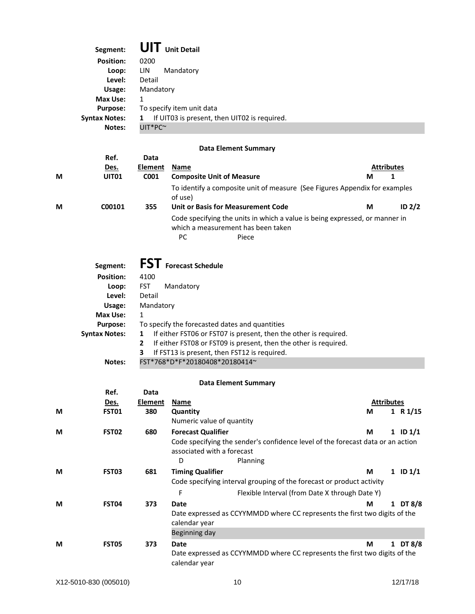| Segment:             | <b>UIT</b> Unit Detail                            |  |  |  |  |  |
|----------------------|---------------------------------------------------|--|--|--|--|--|
| <b>Position:</b>     | 0200                                              |  |  |  |  |  |
| Loop:                | Mandatory<br>LIN                                  |  |  |  |  |  |
| Level:               | Detail                                            |  |  |  |  |  |
| Usage:               | Mandatory                                         |  |  |  |  |  |
| Max Use:             | 1                                                 |  |  |  |  |  |
| <b>Purpose:</b>      | To specify item unit data                         |  |  |  |  |  |
| <b>Syntax Notes:</b> | If UIT03 is present, then UIT02 is required.<br>1 |  |  |  |  |  |
| Notes:               | $UIT*PC^{\sim}$                                   |  |  |  |  |  |

# **Data Element Summary**

| M | Ref.<br>Des.<br>UIT <sub>01</sub> | Data<br><b>Element</b><br>C <sub>001</sub> | <b>Name</b><br><b>Composite Unit of Measure</b>                                                                                  | <b>Attributes</b><br>М |
|---|-----------------------------------|--------------------------------------------|----------------------------------------------------------------------------------------------------------------------------------|------------------------|
| M | C00101                            | 355                                        | To identify a composite unit of measure (See Figures Appendix for examples<br>of use)<br>Unit or Basis for Measurement Code      | ID <sub>2/2</sub><br>М |
|   |                                   |                                            | Code specifying the units in which a value is being expressed, or manner in<br>which a measurement has been taken<br>РC<br>Piece |                        |

| Segment:             | <b>FST</b> Forecast Schedule                                                     |  |  |  |  |  |  |  |
|----------------------|----------------------------------------------------------------------------------|--|--|--|--|--|--|--|
| <b>Position:</b>     | 4100                                                                             |  |  |  |  |  |  |  |
| Loop:                | <b>FST</b><br>Mandatory                                                          |  |  |  |  |  |  |  |
| Level:               | Detail                                                                           |  |  |  |  |  |  |  |
| Usage:               | Mandatory                                                                        |  |  |  |  |  |  |  |
| Max Use:             | 1                                                                                |  |  |  |  |  |  |  |
| <b>Purpose:</b>      | To specify the forecasted dates and quantities                                   |  |  |  |  |  |  |  |
| <b>Syntax Notes:</b> | If either FST06 or FST07 is present, then the other is required.<br>1            |  |  |  |  |  |  |  |
|                      | If either FST08 or FST09 is present, then the other is required.<br>$\mathbf{2}$ |  |  |  |  |  |  |  |
|                      | 3<br>If FST13 is present, then FST12 is required.                                |  |  |  |  |  |  |  |
| Notes:               | FST*768*D*F*20180408*20180414~                                                   |  |  |  |  |  |  |  |

### **Data Element Summary**

|   | Ref.              | Data    |                            |                                                                                 |                   |            |
|---|-------------------|---------|----------------------------|---------------------------------------------------------------------------------|-------------------|------------|
|   | Des.              | Element | Name                       |                                                                                 | <b>Attributes</b> |            |
| М | FST01             | 380     | Quantity                   |                                                                                 | М                 | 1 R $1/15$ |
|   |                   |         | Numeric value of quantity  |                                                                                 |                   |            |
| М | FST <sub>02</sub> | 680     | <b>Forecast Qualifier</b>  |                                                                                 | М                 | 1 ID $1/1$ |
|   |                   |         | associated with a forecast | Code specifying the sender's confidence level of the forecast data or an action |                   |            |
|   |                   |         | D                          | Planning                                                                        |                   |            |
| M | FST03             | 681     | <b>Timing Qualifier</b>    |                                                                                 | М                 | 1 ID $1/1$ |
|   |                   |         |                            | Code specifying interval grouping of the forecast or product activity           |                   |            |
|   |                   |         | F                          | Flexible Interval (from Date X through Date Y)                                  |                   |            |
| М | <b>FST04</b>      | 373     | Date                       |                                                                                 | М                 | 1 DT 8/8   |
|   |                   |         | calendar year              | Date expressed as CCYYMMDD where CC represents the first two digits of the      |                   |            |
|   |                   |         | Beginning day              |                                                                                 |                   |            |
| M | <b>FST05</b>      | 373     | Date<br>calendar year      | Date expressed as CCYYMMDD where CC represents the first two digits of the      | М                 | 1 DT 8/8   |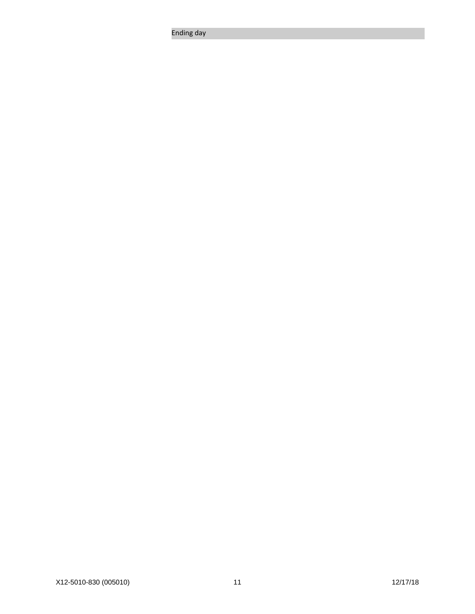Ending day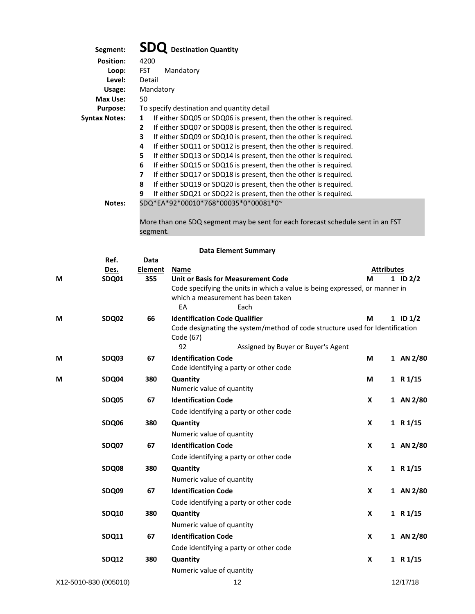| Segment:             | <b>Destination Quantity</b>                                                                                                         |  |  |  |  |  |  |  |
|----------------------|-------------------------------------------------------------------------------------------------------------------------------------|--|--|--|--|--|--|--|
| <b>Position:</b>     | 4200                                                                                                                                |  |  |  |  |  |  |  |
| Loop:                | <b>FST</b><br>Mandatory                                                                                                             |  |  |  |  |  |  |  |
| Level:               | Detail                                                                                                                              |  |  |  |  |  |  |  |
| Usage:               | Mandatory                                                                                                                           |  |  |  |  |  |  |  |
| Max Use:             | 50                                                                                                                                  |  |  |  |  |  |  |  |
| <b>Purpose:</b>      | To specify destination and quantity detail                                                                                          |  |  |  |  |  |  |  |
| <b>Syntax Notes:</b> | If either SDQ05 or SDQ06 is present, then the other is required.<br>1                                                               |  |  |  |  |  |  |  |
|                      | If either SDQ07 or SDQ08 is present, then the other is required.<br>$\mathbf{2}$                                                    |  |  |  |  |  |  |  |
|                      | 3<br>If either SDQ09 or SDQ10 is present, then the other is required.                                                               |  |  |  |  |  |  |  |
|                      | If either SDQ11 or SDQ12 is present, then the other is required.<br>4                                                               |  |  |  |  |  |  |  |
|                      | If either SDQ13 or SDQ14 is present, then the other is required.<br>5.                                                              |  |  |  |  |  |  |  |
|                      | If either SDQ15 or SDQ16 is present, then the other is required.<br>6                                                               |  |  |  |  |  |  |  |
|                      | If either SDQ17 or SDQ18 is present, then the other is required.<br>7                                                               |  |  |  |  |  |  |  |
|                      | If either SDQ19 or SDQ20 is present, then the other is required.<br>8                                                               |  |  |  |  |  |  |  |
|                      | If either SDQ21 or SDQ22 is present, then the other is required.<br>9                                                               |  |  |  |  |  |  |  |
| Notes:               | SDQ*EA*92*00010*768*00035*0*00081*0~                                                                                                |  |  |  |  |  |  |  |
|                      | $\mathbf{r}$ and $\mathbf{r}$ and $\mathbf{r}$ and $\mathbf{r}$ and $\mathbf{r}$ and $\mathbf{r}$ and $\mathbf{r}$ and $\mathbf{r}$ |  |  |  |  |  |  |  |

More than one SDQ segment may be sent for each forecast schedule sent in an FST segment.

|   |                       |                | <b>Data Element Summary</b>                                                                                          |   |                   |
|---|-----------------------|----------------|----------------------------------------------------------------------------------------------------------------------|---|-------------------|
|   | Ref.                  | Data           |                                                                                                                      |   |                   |
|   | Des.                  | <b>Element</b> | <b>Name</b>                                                                                                          |   | <b>Attributes</b> |
| M | <b>SDQ01</b>          | 355            | Unit or Basis for Measurement Code                                                                                   | М | 1 ID $2/2$        |
|   |                       |                | Code specifying the units in which a value is being expressed, or manner in                                          |   |                   |
|   |                       |                | which a measurement has been taken<br>EA<br>Each                                                                     |   |                   |
| М |                       | 66             |                                                                                                                      | М |                   |
|   | SDQ02                 |                | <b>Identification Code Qualifier</b><br>Code designating the system/method of code structure used for Identification |   | 1 ID $1/2$        |
|   |                       |                | Code (67)                                                                                                            |   |                   |
|   |                       |                | 92<br>Assigned by Buyer or Buyer's Agent                                                                             |   |                   |
| М | SDQ03                 | 67             | <b>Identification Code</b>                                                                                           | M | 1 AN 2/80         |
|   |                       |                | Code identifying a party or other code                                                                               |   |                   |
| М | SDQ04                 | 380            | Quantity                                                                                                             | М | 1 $R1/15$         |
|   |                       |                | Numeric value of quantity                                                                                            |   |                   |
|   | <b>SDQ05</b>          | 67             | <b>Identification Code</b>                                                                                           | X | 1 AN 2/80         |
|   |                       |                | Code identifying a party or other code                                                                               |   |                   |
|   | SDQ06                 | 380            | Quantity                                                                                                             | X | 1 $R1/15$         |
|   |                       |                | Numeric value of quantity                                                                                            |   |                   |
|   | SDQ07                 | 67             | <b>Identification Code</b>                                                                                           | X | 1 AN 2/80         |
|   |                       |                | Code identifying a party or other code                                                                               |   |                   |
|   | SDQ08                 | 380            | Quantity                                                                                                             | X | 1 $R1/15$         |
|   |                       |                | Numeric value of quantity                                                                                            |   |                   |
|   | SDQ09                 | 67             | <b>Identification Code</b>                                                                                           | X | 1 AN 2/80         |
|   |                       |                | Code identifying a party or other code                                                                               |   |                   |
|   | <b>SDQ10</b>          | 380            | Quantity                                                                                                             | X | 1 R $1/15$        |
|   |                       |                | Numeric value of quantity                                                                                            |   |                   |
|   | SDQ11                 | 67             | <b>Identification Code</b>                                                                                           | X | 1 AN 2/80         |
|   |                       |                | Code identifying a party or other code                                                                               |   |                   |
|   | <b>SDQ12</b>          | 380            | Quantity                                                                                                             | X | 1 R1/15           |
|   |                       |                | Numeric value of quantity                                                                                            |   |                   |
|   | X12-5010-830 (005010) |                | 12                                                                                                                   |   | 12/17/18          |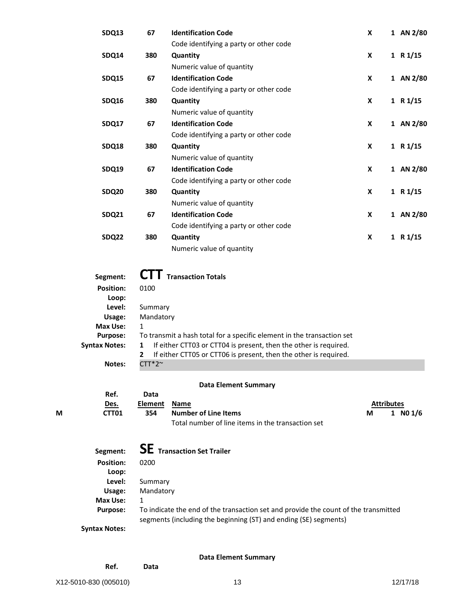| SDQ13             | 67  | <b>Identification Code</b>             | X |              | 1 AN 2/80  |
|-------------------|-----|----------------------------------------|---|--------------|------------|
|                   |     | Code identifying a party or other code |   |              |            |
| SDQ14             | 380 | Quantity                               | X |              | 1 R1/15    |
|                   |     | Numeric value of quantity              |   |              |            |
| SDQ15             | 67  | <b>Identification Code</b>             | X |              | 1 AN 2/80  |
|                   |     | Code identifying a party or other code |   |              |            |
| SDQ16             | 380 | Quantity                               | X |              | 1 R1/15    |
|                   |     | Numeric value of quantity              |   |              |            |
| SDQ17             | 67  | <b>Identification Code</b>             | X |              | 1 AN 2/80  |
|                   |     | Code identifying a party or other code |   |              |            |
| SDQ18             | 380 | Quantity                               | X |              | 1 R1/15    |
|                   |     | Numeric value of quantity              |   |              |            |
| <b>SDQ19</b>      | 67  | <b>Identification Code</b>             | X |              | 1 AN 2/80  |
|                   |     | Code identifying a party or other code |   |              |            |
| SDQ <sub>20</sub> | 380 | Quantity                               | X |              | 1 R $1/15$ |
|                   |     | Numeric value of quantity              |   |              |            |
| <b>SDQ21</b>      | 67  | <b>Identification Code</b>             | X | $\mathbf{1}$ | AN 2/80    |
|                   |     | Code identifying a party or other code |   |              |            |
| SDQ22             | 380 | Quantity                               | X |              | 1 R1/15    |
|                   |     | Numeric value of quantity              |   |              |            |
|                   |     |                                        |   |              |            |

| Segment:         | <b>I</b> Transaction Totals                                                      |  |  |  |  |  |  |
|------------------|----------------------------------------------------------------------------------|--|--|--|--|--|--|
| <b>Position:</b> | 0100                                                                             |  |  |  |  |  |  |
| Loop:            |                                                                                  |  |  |  |  |  |  |
| Level:           | Summary                                                                          |  |  |  |  |  |  |
| Usage:           | Mandatory                                                                        |  |  |  |  |  |  |
| Max Use:         | 1                                                                                |  |  |  |  |  |  |
| <b>Purpose:</b>  | To transmit a hash total for a specific element in the transaction set           |  |  |  |  |  |  |
| Syntax Notes:    | If either CTT03 or CTT04 is present, then the other is required.<br>1            |  |  |  |  |  |  |
|                  | If either CTT05 or CTT06 is present, then the other is required.<br>$\mathbf{2}$ |  |  |  |  |  |  |
| Notes:           | $TT*2$ ~                                                                         |  |  |  |  |  |  |

# **Data Element Summary**

|   | Ref.              | Data                        |                                                                                                                |                   |
|---|-------------------|-----------------------------|----------------------------------------------------------------------------------------------------------------|-------------------|
|   | Des.              | Element Name                |                                                                                                                | <b>Attributes</b> |
| М | CTT <sub>01</sub> | Number of Line Items<br>354 | 1 $N01/6$                                                                                                      |                   |
|   |                   |                             | the search concernstructure of the contractors and search and search and search and search and search in the s |                   |

Total number of line items in the transaction set

| Segment:         | <b>SE</b> Transaction Set Trailer                                                                                                                       |
|------------------|---------------------------------------------------------------------------------------------------------------------------------------------------------|
| <b>Position:</b> | 0200                                                                                                                                                    |
| Loop:            |                                                                                                                                                         |
| Level:           | Summary                                                                                                                                                 |
| Usage:           | Mandatory                                                                                                                                               |
| Max Use:         | 1                                                                                                                                                       |
| <b>Purpose:</b>  | To indicate the end of the transaction set and provide the count of the transmitted<br>segments (including the beginning (ST) and ending (SE) segments) |
| tov Notori       |                                                                                                                                                         |

**Syntax Notes:**

**Data Element Summary**

**Ref. Data**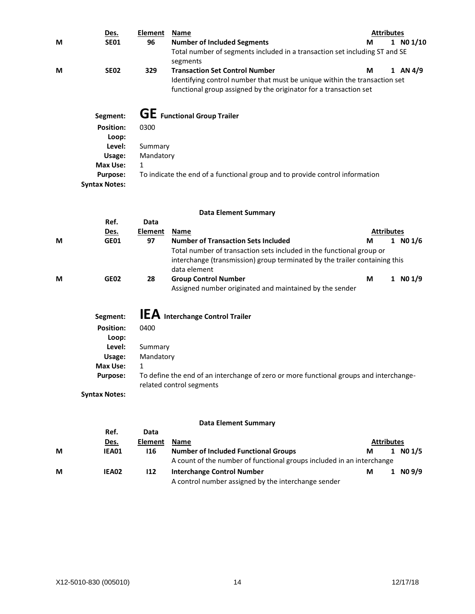|   | Des.                 | <b>Element</b> | <b>Name</b>                                                                            |                   | <b>Attributes</b> |               |  |  |
|---|----------------------|----------------|----------------------------------------------------------------------------------------|-------------------|-------------------|---------------|--|--|
| М | <b>SE01</b>          | 96             | <b>Number of Included Segments</b>                                                     | м                 |                   | $1$ NO $1/10$ |  |  |
|   |                      |                | Total number of segments included in a transaction set including ST and SE             |                   |                   |               |  |  |
|   |                      |                | segments                                                                               |                   |                   |               |  |  |
| М | <b>SE02</b>          | 329            | <b>Transaction Set Control Number</b>                                                  | М                 |                   | 1 AN $4/9$    |  |  |
|   |                      |                | Identifying control number that must be unique within the transaction set              |                   |                   |               |  |  |
|   |                      |                | functional group assigned by the originator for a transaction set                      |                   |                   |               |  |  |
|   |                      |                | <b>GE</b> Functional Group Trailer                                                     |                   |                   |               |  |  |
|   | Segment:             |                |                                                                                        |                   |                   |               |  |  |
|   | <b>Position:</b>     | 0300           |                                                                                        |                   |                   |               |  |  |
|   | Loop:                |                |                                                                                        |                   |                   |               |  |  |
|   | Level:               | Summary        |                                                                                        |                   |                   |               |  |  |
|   | Usage:               | Mandatory      |                                                                                        |                   |                   |               |  |  |
|   | <b>Max Use:</b>      | 1              |                                                                                        |                   |                   |               |  |  |
|   | <b>Purpose:</b>      |                | To indicate the end of a functional group and to provide control information           |                   |                   |               |  |  |
|   | <b>Syntax Notes:</b> |                |                                                                                        |                   |                   |               |  |  |
|   |                      |                | <b>Data Element Summary</b>                                                            |                   |                   |               |  |  |
|   | Ref.                 | Data           |                                                                                        |                   |                   |               |  |  |
|   | Des.                 | <b>Element</b> | <b>Name</b>                                                                            | <b>Attributes</b> |                   |               |  |  |
| М | <b>GE01</b>          | 97             | <b>Number of Transaction Sets Included</b>                                             | М                 |                   | 1 N01/6       |  |  |
|   |                      |                | Total number of transaction sets included in the functional group or                   |                   |                   |               |  |  |
|   |                      |                | interchange (transmission) group terminated by the trailer containing this             |                   |                   |               |  |  |
|   |                      |                | data element                                                                           |                   |                   |               |  |  |
| М | <b>GE02</b>          | 28             | <b>Group Control Number</b>                                                            | М                 |                   | $1$ NO $1/9$  |  |  |
|   |                      |                | Assigned number originated and maintained by the sender                                |                   |                   |               |  |  |
|   |                      |                |                                                                                        |                   |                   |               |  |  |
|   | Segment:             |                | <b>IEA</b> Interchange Control Trailer                                                 |                   |                   |               |  |  |
|   | <b>Position:</b>     | 0400           |                                                                                        |                   |                   |               |  |  |
|   | Loop:                |                |                                                                                        |                   |                   |               |  |  |
|   | Level:               | Summary        |                                                                                        |                   |                   |               |  |  |
|   | Usage:               | Mandatory      |                                                                                        |                   |                   |               |  |  |
|   | Max Use:             | 1              |                                                                                        |                   |                   |               |  |  |
|   | <b>Purpose:</b>      |                | To define the end of an interchange of zero or more functional groups and interchange- |                   |                   |               |  |  |
|   |                      |                | related control segments                                                               |                   |                   |               |  |  |
|   | <b>Syntax Notes:</b> |                |                                                                                        |                   |                   |               |  |  |
|   |                      |                |                                                                                        |                   |                   |               |  |  |
|   |                      |                | <b>Data Element Summary</b>                                                            |                   |                   |               |  |  |
|   | Ref.                 | Data           |                                                                                        |                   |                   |               |  |  |
|   | Des.                 | <b>Element</b> | <b>Name</b>                                                                            | <b>Attributes</b> |                   |               |  |  |

| <u>DES.</u> | LICIIICIIL | <b>IVALLIC</b>                                      |   |                                                                                      |
|-------------|------------|-----------------------------------------------------|---|--------------------------------------------------------------------------------------|
| IEA01       | 116        | <b>Number of Included Functional Groups</b>         | М | $1$ NO $1/5$                                                                         |
|             |            |                                                     |   |                                                                                      |
| IEA02       | 112        | <b>Interchange Control Number</b>                   | М | 1 N09/9                                                                              |
|             |            | A control number assigned by the interchange sender |   |                                                                                      |
|             |            |                                                     |   | ALLI INULES<br>A count of the number of functional groups included in an interchange |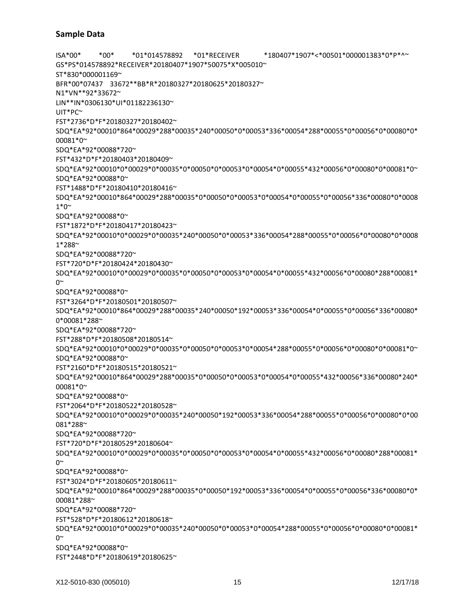ISA\*00\* \*00\* \*01\*014578892 \*01\*RECEIVER \*180407\*1907\*<\*00501\*000001383\*0\*P\*^~ GS\*PS\*014578892\*RECEIVER\*20180407\*1907\*50075\*X\*005010~ ST\*830\*000001169~ BFR\*00\*07437 33672\*\*BB\*R\*20180327\*20180625\*20180327~ N1\*VN\*\*92\*33672~ LIN\*\*IN\*0306130\*UI\*01182236130~ UIT\*PC~ FST\*2736\*D\*F\*20180327\*20180402~ SDQ\*EA\*92\*00010\*864\*00029\*288\*00035\*240\*00050\*0\*00053\*336\*00054\*288\*00055\*0\*00056\*0\*00080\*0\* 00081\*0~ SDQ\*EA\*92\*00088\*720~ FST\*432\*D\*F\*20180403\*20180409~ SDQ\*EA\*92\*00010\*0\*00029\*0\*00035\*0\*00050\*0\*00053\*0\*00054\*0\*00055\*432\*00056\*0\*00080\*0\*00081\*0~ SDQ\*EA\*92\*00088\*0~ FST\*1488\*D\*F\*20180410\*20180416~ SDQ\*EA\*92\*00010\*864\*00029\*288\*00035\*0\*00050\*0\*00053\*0\*00054\*0\*00055\*0\*00056\*336\*00080\*0\*0008 1\*0~ SDQ\*EA\*92\*00088\*0~ FST\*1872\*D\*F\*20180417\*20180423~ SDQ\*EA\*92\*00010\*0\*00029\*0\*00035\*240\*00050\*0\*00053\*336\*00054\*288\*00055\*0\*00056\*0\*00080\*0\*0008 1\*288~ SDQ\*EA\*92\*00088\*720~ FST\*720\*D\*F\*20180424\*20180430~ SDQ\*EA\*92\*00010\*0\*00029\*0\*00035\*0\*00050\*0\*00053\*0\*00054\*0\*00055\*432\*00056\*0\*00080\*288\*00081\*  $0^{\sim}$ SDQ\*EA\*92\*00088\*0~ FST\*3264\*D\*F\*20180501\*20180507~ SDQ\*EA\*92\*00010\*864\*00029\*288\*00035\*240\*00050\*192\*00053\*336\*00054\*0\*00055\*0\*00056\*336\*00080\* 0\*00081\*288~ SDQ\*EA\*92\*00088\*720~ FST\*288\*D\*F\*20180508\*20180514~ SDQ\*EA\*92\*00010\*0\*00029\*0\*00035\*0\*00050\*0\*00053\*0\*00054\*288\*00055\*0\*00056\*0\*00080\*0\*00081\*0~ SDQ\*EA\*92\*00088\*0~ FST\*2160\*D\*F\*20180515\*20180521~ SDQ\*EA\*92\*00010\*864\*00029\*288\*00035\*0\*00050\*0\*00053\*0\*00054\*0\*00055\*432\*00056\*336\*00080\*240\* 00081\*0~ SDQ\*EA\*92\*00088\*0~ FST\*2064\*D\*F\*20180522\*20180528~ SDQ\*EA\*92\*00010\*0\*00029\*0\*00035\*240\*00050\*192\*00053\*336\*00054\*288\*00055\*0\*00056\*0\*00080\*0\*00 081\*288~ SDQ\*EA\*92\*00088\*720~ FST\*720\*D\*F\*20180529\*20180604~ SDQ\*EA\*92\*00010\*0\*00029\*0\*00035\*0\*00050\*0\*00053\*0\*00054\*0\*00055\*432\*00056\*0\*00080\*288\*00081\*  $0^{\sim}$ SDQ\*EA\*92\*00088\*0~ FST\*3024\*D\*F\*20180605\*20180611~ SDQ\*EA\*92\*00010\*864\*00029\*288\*00035\*0\*00050\*192\*00053\*336\*00054\*0\*00055\*0\*00056\*336\*00080\*0\* 00081\*288~ SDQ\*EA\*92\*00088\*720~ FST\*528\*D\*F\*20180612\*20180618~ SDQ\*EA\*92\*00010\*0\*00029\*0\*00035\*240\*00050\*0\*00053\*0\*00054\*288\*00055\*0\*00056\*0\*00080\*0\*00081\*  $0^{\sim}$ SDQ\*EA\*92\*00088\*0~ FST\*2448\*D\*F\*20180619\*20180625~

#### **Sample Data**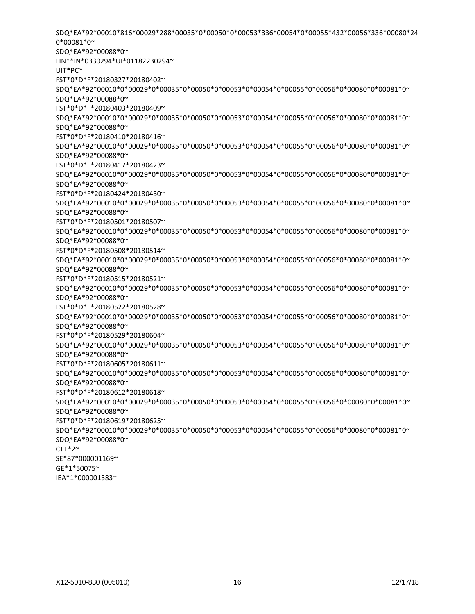0\*00081\*0~ SDQ\*EA\*92\*00088\*0~ LIN\*\*IN\*0330294\*UI\*01182230294~ UIT\*PC~ FST\*0\*D\*F\*20180327\*20180402~ SDQ\*EA\*92\*00010\*0\*00029\*0\*00035\*0\*00050\*0\*00053\*0\*00054\*0\*00055\*0\*00056\*0\*00080\*0\*00081\*0~ SDQ\*EA\*92\*00088\*0~ FST\*0\*D\*F\*20180403\*20180409~ SDQ\*EA\*92\*00010\*0\*00029\*0\*00035\*0\*00050\*0\*00053\*0\*00054\*0\*00055\*0\*00056\*0\*00080\*0\*00081\*0~ SDQ\*EA\*92\*00088\*0~ FST\*0\*D\*F\*20180410\*20180416~ SDQ\*EA\*92\*00010\*0\*00029\*0\*00035\*0\*00050\*0\*00053\*0\*00054\*0\*00055\*0\*00056\*0\*00080\*0\*00081\*0~ SDQ\*EA\*92\*00088\*0~ FST\*0\*D\*F\*20180417\*20180423~ SDQ\*EA\*92\*00010\*0\*00029\*0\*00035\*0\*00050\*0\*00053\*0\*00054\*0\*00055\*0\*00056\*0\*00080\*0\*00081\*0~ SDQ\*EA\*92\*00088\*0~ FST\*0\*D\*F\*20180424\*20180430~ SDQ\*EA\*92\*00010\*0\*00029\*0\*00035\*0\*00050\*0\*00053\*0\*00054\*0\*00055\*0\*00056\*0\*00080\*0\*00081\*0~ SDQ\*EA\*92\*00088\*0~ FST\*0\*D\*F\*20180501\*20180507~ SDQ\*EA\*92\*00010\*0\*00029\*0\*00035\*0\*00050\*0\*00053\*0\*00054\*0\*00055\*0\*00056\*0\*00080\*0\*00081\*0~ SDQ\*EA\*92\*00088\*0~ FST\*0\*D\*F\*20180508\*20180514~ SDQ\*EA\*92\*00010\*0\*00029\*0\*00035\*0\*00050\*0\*00053\*0\*00054\*0\*00055\*0\*00056\*0\*00080\*0\*00081\*0~ SDQ\*EA\*92\*00088\*0~ FST\*0\*D\*F\*20180515\*20180521~ SDQ\*EA\*92\*00010\*0\*00029\*0\*00035\*0\*00050\*0\*00053\*0\*00054\*0\*00055\*0\*00056\*0\*00080\*0\*00081\*0~ SDQ\*EA\*92\*00088\*0~ FST\*0\*D\*F\*20180522\*20180528~ SDQ\*EA\*92\*00010\*0\*00029\*0\*00035\*0\*00050\*0\*00053\*0\*00054\*0\*00055\*0\*00056\*0\*00080\*0\*00081\*0~ SDQ\*EA\*92\*00088\*0~ FST\*0\*D\*F\*20180529\*20180604~ SDQ\*EA\*92\*00010\*0\*00029\*0\*00035\*0\*00050\*0\*00053\*0\*00054\*0\*00055\*0\*00056\*0\*00080\*0\*00081\*0~ SDQ\*EA\*92\*00088\*0~ FST\*0\*D\*F\*20180605\*20180611~ SDQ\*EA\*92\*00010\*0\*00029\*0\*00035\*0\*00050\*0\*00053\*0\*00054\*0\*00055\*0\*00056\*0\*00080\*0\*00081\*0~ SDQ\*EA\*92\*00088\*0~ FST\*0\*D\*F\*20180612\*20180618~ SDQ\*EA\*92\*00010\*0\*00029\*0\*00035\*0\*00050\*0\*00053\*0\*00054\*0\*00055\*0\*00056\*0\*00080\*0\*00081\*0~ SDQ\*EA\*92\*00088\*0~ FST\*0\*D\*F\*20180619\*20180625~ SDQ\*EA\*92\*00010\*0\*00029\*0\*00035\*0\*00050\*0\*00053\*0\*00054\*0\*00055\*0\*00056\*0\*00080\*0\*00081\*0~ SDQ\*EA\*92\*00088\*0~  $CTT*2^{\sim}$ SE\*87\*000001169~ GE\*1\*50075~ IEA\*1\*000001383~

SDQ\*EA\*92\*00010\*816\*00029\*288\*00035\*0\*00050\*0\*00053\*336\*00054\*0\*00055\*432\*00056\*336\*00080\*24